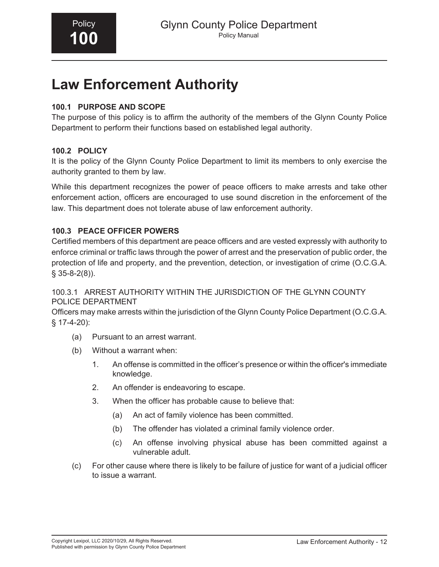# **Law Enforcement Authority**

## **100.1 PURPOSE AND SCOPE**

The purpose of this policy is to affirm the authority of the members of the Glynn County Police Department to perform their functions based on established legal authority.

### **100.2 POLICY**

It is the policy of the Glynn County Police Department to limit its members to only exercise the authority granted to them by law.

While this department recognizes the power of peace officers to make arrests and take other enforcement action, officers are encouraged to use sound discretion in the enforcement of the law. This department does not tolerate abuse of law enforcement authority.

## **100.3 PEACE OFFICER POWERS**

Certified members of this department are peace officers and are vested expressly with authority to enforce criminal or traffic laws through the power of arrest and the preservation of public order, the protection of life and property, and the prevention, detection, or investigation of crime (O.C.G.A.  $§$  35-8-2(8)).

### 100.3.1 ARREST AUTHORITY WITHIN THE JURISDICTION OF THE GLYNN COUNTY POLICE DEPARTMENT

Officers may make arrests within the jurisdiction of the Glynn County Police Department (O.C.G.A. § 17-4-20):

- (a) Pursuant to an arrest warrant.
- (b) Without a warrant when:
	- 1. An offense is committed in the officer's presence or within the officer's immediate knowledge.
	- 2. An offender is endeavoring to escape.
	- 3. When the officer has probable cause to believe that:
		- (a) An act of family violence has been committed.
		- (b) The offender has violated a criminal family violence order.
		- (c) An offense involving physical abuse has been committed against a vulnerable adult.
- (c) For other cause where there is likely to be failure of justice for want of a judicial officer to issue a warrant.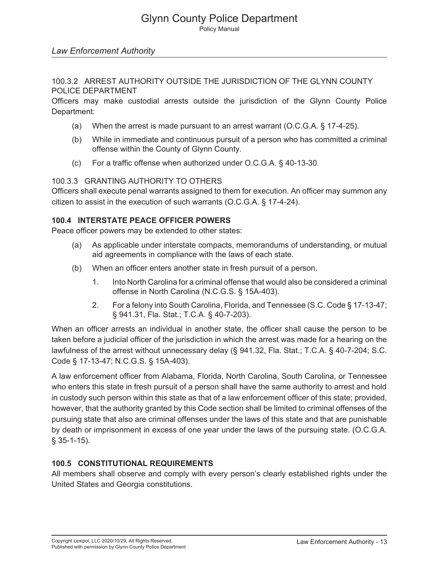# Glynn County Police Department

Policy Manual

#### *Law Enforcement Authority*

#### 100.3.2 ARREST AUTHORITY OUTSIDE THE JURISDICTION OF THE GLYNN COUNTY POLICE DEPARTMENT

Officers may make custodial arrests outside the jurisdiction of the Glynn County Police Department:

- (a) When the arrest is made pursuant to an arrest warrant (O.C.G.A. § 17-4-25).
- (b) While in immediate and continuous pursuit of a person who has committed a criminal offense within the County of Glynn County.
- (c) For a traffic offense when authorized under O.C.G.A. § 40-13-30.

#### 100.3.3 GRANTING AUTHORITY TO OTHERS

Officers shall execute penal warrants assigned to them for execution. An officer may summon any citizen to assist in the execution of such warrants (O.C.G.A. § 17-4-24).

## **100.4 INTERSTATE PEACE OFFICER POWERS**

Peace officer powers may be extended to other states:

- (a) As applicable under interstate compacts, memorandums of understanding, or mutual aid agreements in compliance with the laws of each state.
- (b) When an officer enters another state in fresh pursuit of a person.
	- 1. Into North Carolina for a criminal offense that would also be considered a criminal offense in North Carolina (N.C.G.S. § 15A-403).
	- 2. For a felony into South Carolina, Florida, and Tennessee (S.C. Code § 17-13-47; § 941.31, Fla. Stat.; T.C.A. § 40-7-203).

When an officer arrests an individual in another state, the officer shall cause the person to be taken before a judicial officer of the jurisdiction in which the arrest was made for a hearing on the lawfulness of the arrest without unnecessary delay (§ 941.32, Fla. Stat.; T.C.A. § 40-7-204; S.C. Code § 17-13-47; N.C.G.S. § 15A-403).

A law enforcement officer from Alabama, Florida, North Carolina, South Carolina, or Tennessee who enters this state in fresh pursuit of a person shall have the same authority to arrest and hold in custody such person within this state as that of a law enforcement officer of this state; provided, however, that the authority granted by this Code section shall be limited to criminal offenses of the pursuing state that also are criminal offenses under the laws of this state and that are punishable by death or imprisonment in excess of one year under the laws of the pursuing state. (O.C.G.A. § 35-1-15).

#### **100.5 CONSTITUTIONAL REQUIREMENTS**

All members shall observe and comply with every person's clearly established rights under the United States and Georgia constitutions.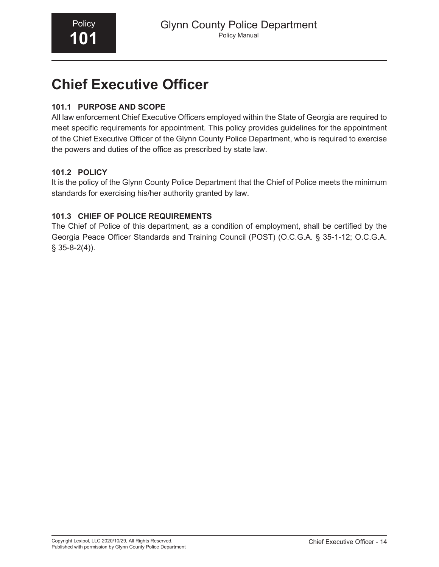# **Chief Executive Officer**

## **101.1 PURPOSE AND SCOPE**

All law enforcement Chief Executive Officers employed within the State of Georgia are required to meet specific requirements for appointment. This policy provides guidelines for the appointment of the Chief Executive Officer of the Glynn County Police Department, who is required to exercise the powers and duties of the office as prescribed by state law.

## **101.2 POLICY**

It is the policy of the Glynn County Police Department that the Chief of Police meets the minimum standards for exercising his/her authority granted by law.

## **101.3 CHIEF OF POLICE REQUIREMENTS**

The Chief of Police of this department, as a condition of employment, shall be certified by the Georgia Peace Officer Standards and Training Council (POST) (O.C.G.A. § 35-1-12; O.C.G.A.  $§$  35-8-2(4)).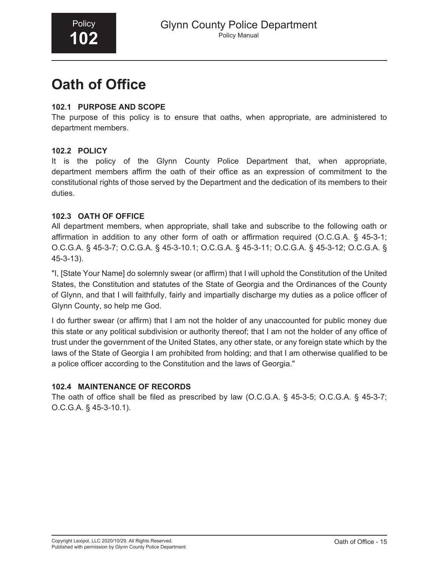# **Oath of Office**

## **102.1 PURPOSE AND SCOPE**

The purpose of this policy is to ensure that oaths, when appropriate, are administered to department members.

### **102.2 POLICY**

It is the policy of the Glynn County Police Department that, when appropriate, department members affirm the oath of their office as an expression of commitment to the constitutional rights of those served by the Department and the dedication of its members to their duties.

## **102.3 OATH OF OFFICE**

All department members, when appropriate, shall take and subscribe to the following oath or affirmation in addition to any other form of oath or affirmation required (O.C.G.A. § 45-3-1; O.C.G.A. § 45-3-7; O.C.G.A. § 45-3-10.1; O.C.G.A. § 45-3-11; O.C.G.A. § 45-3-12; O.C.G.A. § 45-3-13).

"I, [State Your Name] do solemnly swear (or affirm) that I will uphold the Constitution of the United States, the Constitution and statutes of the State of Georgia and the Ordinances of the County of Glynn, and that I will faithfully, fairly and impartially discharge my duties as a police officer of Glynn County, so help me God.

I do further swear (or affirm) that I am not the holder of any unaccounted for public money due this state or any political subdivision or authority thereof; that I am not the holder of any office of trust under the government of the United States, any other state, or any foreign state which by the laws of the State of Georgia I am prohibited from holding; and that I am otherwise qualified to be a police officer according to the Constitution and the laws of Georgia."

### **102.4 MAINTENANCE OF RECORDS**

The oath of office shall be filed as prescribed by law (O.C.G.A. § 45-3-5; O.C.G.A. § 45-3-7; O.C.G.A. § 45-3-10.1).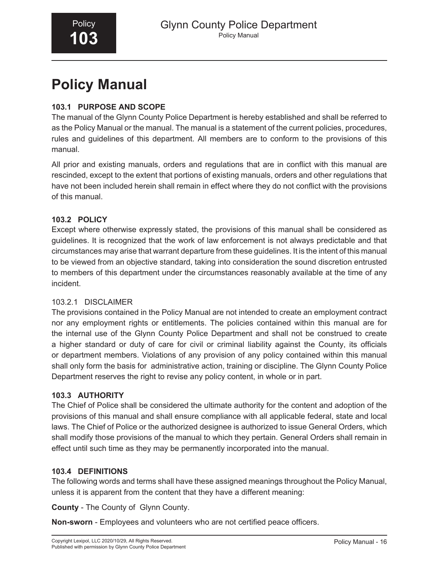# **Policy Manual**

## **103.1 PURPOSE AND SCOPE**

The manual of the Glynn County Police Department is hereby established and shall be referred to as the Policy Manual or the manual. The manual is a statement of the current policies, procedures, rules and guidelines of this department. All members are to conform to the provisions of this manual.

All prior and existing manuals, orders and regulations that are in conflict with this manual are rescinded, except to the extent that portions of existing manuals, orders and other regulations that have not been included herein shall remain in effect where they do not conflict with the provisions of this manual.

## **103.2 POLICY**

Except where otherwise expressly stated, the provisions of this manual shall be considered as guidelines. It is recognized that the work of law enforcement is not always predictable and that circumstances may arise that warrant departure from these guidelines. It is the intent of this manual to be viewed from an objective standard, taking into consideration the sound discretion entrusted to members of this department under the circumstances reasonably available at the time of any incident.

### 103.2.1 DISCLAIMER

The provisions contained in the Policy Manual are not intended to create an employment contract nor any employment rights or entitlements. The policies contained within this manual are for the internal use of the Glynn County Police Department and shall not be construed to create a higher standard or duty of care for civil or criminal liability against the County, its officials or department members. Violations of any provision of any policy contained within this manual shall only form the basis for administrative action, training or discipline. The Glynn County Police Department reserves the right to revise any policy content, in whole or in part.

### **103.3 AUTHORITY**

The Chief of Police shall be considered the ultimate authority for the content and adoption of the provisions of this manual and shall ensure compliance with all applicable federal, state and local laws. The Chief of Police or the authorized designee is authorized to issue General Orders, which shall modify those provisions of the manual to which they pertain. General Orders shall remain in effect until such time as they may be permanently incorporated into the manual.

### **103.4 DEFINITIONS**

The following words and terms shall have these assigned meanings throughout the Policy Manual, unless it is apparent from the content that they have a different meaning:

**County** - The County of Glynn County.

**Non-sworn** - Employees and volunteers who are not certified peace officers.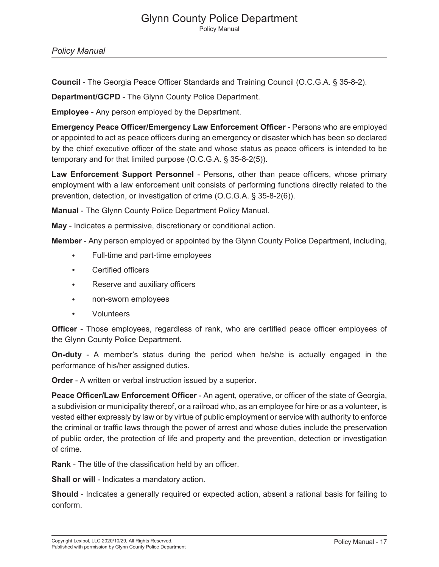#### Glynn County Police Department Policy Manual

*Policy Manual*

**Council** - The Georgia Peace Officer Standards and Training Council (O.C.G.A. § 35-8-2).

**Department/GCPD** - The Glynn County Police Department.

**Employee** - Any person employed by the Department.

**Emergency Peace Officer/Emergency Law Enforcement Officer** - Persons who are employed or appointed to act as peace officers during an emergency or disaster which has been so declared by the chief executive officer of the state and whose status as peace officers is intended to be temporary and for that limited purpose (O.C.G.A. § 35-8-2(5)).

**Law Enforcement Support Personnel** - Persons, other than peace officers, whose primary employment with a law enforcement unit consists of performing functions directly related to the prevention, detection, or investigation of crime (O.C.G.A. § 35-8-2(6)).

**Manual** - The Glynn County Police Department Policy Manual.

**May** - Indicates a permissive, discretionary or conditional action.

**Member** - Any person employed or appointed by the Glynn County Police Department, including,

- Full-time and part-time employees
- Certified officers
- Reserve and auxiliary officers
- non-sworn employees
- Volunteers

**Officer** - Those employees, regardless of rank, who are certified peace officer employees of the Glynn County Police Department.

**On-duty** - A member's status during the period when he/she is actually engaged in the performance of his/her assigned duties.

**Order** - A written or verbal instruction issued by a superior.

**Peace Officer/Law Enforcement Officer** - An agent, operative, or officer of the state of Georgia, a subdivision or municipality thereof, or a railroad who, as an employee for hire or as a volunteer, is vested either expressly by law or by virtue of public employment or service with authority to enforce the criminal or traffic laws through the power of arrest and whose duties include the preservation of public order, the protection of life and property and the prevention, detection or investigation of crime.

**Rank** - The title of the classification held by an officer.

**Shall or will** - Indicates a mandatory action.

**Should** - Indicates a generally required or expected action, absent a rational basis for failing to conform.